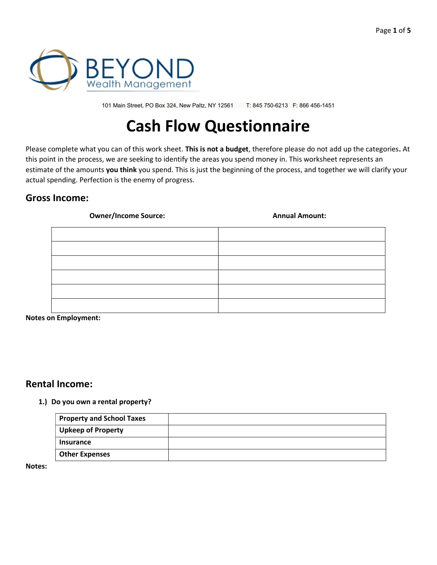

101 Main Street, PO Box 324, New Paltz, NY 12561 T: 845 750-6213 F: 866 456-1451

# Cash Flow Questionnaire

Please complete what you can of this work sheet. This is not a budget, therefore please do not add up the categories. At this point in the process, we are seeking to identify the areas you spend money in. This worksheet represents an estimate of the amounts you think you spend. This is just the beginning of the process, and together we will clarify your actual spending. Perfection is the enemy of progress.

## Gross Income:

#### Owner/Income Source: and Amount: Annual Amount:

Notes on Employment:

## Rental Income:

#### 1.) Do you own a rental property?

| Property and School Taxes |  |
|---------------------------|--|
| <b>Upkeep of Property</b> |  |
| <b>Insurance</b>          |  |
| <b>Other Expenses</b>     |  |

Notes: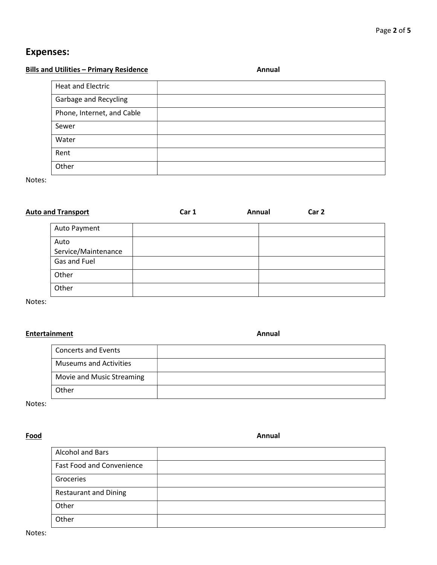## Expenses:

## Bills and Utilities – Primary Residence Annual

| <b>Heat and Electric</b>   |  |
|----------------------------|--|
| Garbage and Recycling      |  |
| Phone, Internet, and Cable |  |
| Sewer                      |  |
| Water                      |  |
| Rent                       |  |
| Other                      |  |

Notes:

| <b>Auto and Transport</b>   | Car 1 | Annual | Car 2 |  |
|-----------------------------|-------|--------|-------|--|
| Auto Payment                |       |        |       |  |
| Auto<br>Service/Maintenance |       |        |       |  |
| Gas and Fuel                |       |        |       |  |
| Other                       |       |        |       |  |
| Other                       |       |        |       |  |

Notes:

## Entertainment **Annual**

| <b>Concerts and Events</b>    |  |
|-------------------------------|--|
| <b>Museums and Activities</b> |  |
| Movie and Music Streaming     |  |
| Other                         |  |

Notes:

#### in the set of the set of the set of the set of the set of the set of the set of the set of the set of the set o

| <b>Alcohol and Bars</b>          |  |
|----------------------------------|--|
| <b>Fast Food and Convenience</b> |  |
| Groceries                        |  |
| <b>Restaurant and Dining</b>     |  |
| Other                            |  |
| Other                            |  |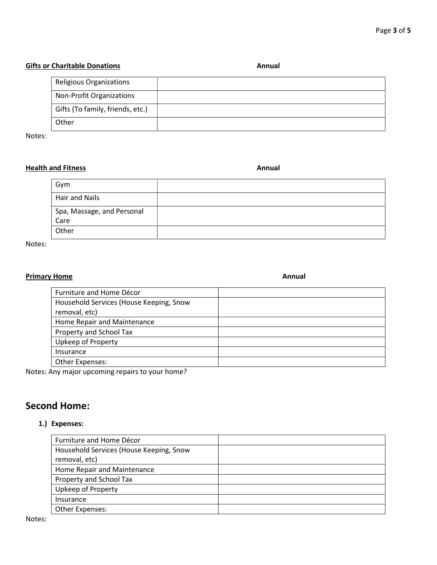#### Gifts or Charitable Donations **Annual** Annual

| Religious Organizations          |  |
|----------------------------------|--|
| Non-Profit Organizations         |  |
| Gifts (To family, friends, etc.) |  |
| Other                            |  |

Notes:

## Health and Fitness **Annual**

Gym Hair and Nails Spa, Massage, and Personal Care Other

Notes:

## Primary Home **Annual**

| Furniture and Home Décor                |  |
|-----------------------------------------|--|
| Household Services (House Keeping, Snow |  |
| removal, etc)                           |  |
| Home Repair and Maintenance             |  |
| Property and School Tax                 |  |
| Upkeep of Property                      |  |
| Insurance                               |  |
| Other Expenses:                         |  |

Notes: Any major upcoming repairs to your home?

## Second Home:

### 1.) Expenses:

| Furniture and Home Décor                |  |
|-----------------------------------------|--|
| Household Services (House Keeping, Snow |  |
| removal, etc)                           |  |
| Home Repair and Maintenance             |  |
| Property and School Tax                 |  |
| Upkeep of Property                      |  |
| Insurance                               |  |
| Other Expenses:                         |  |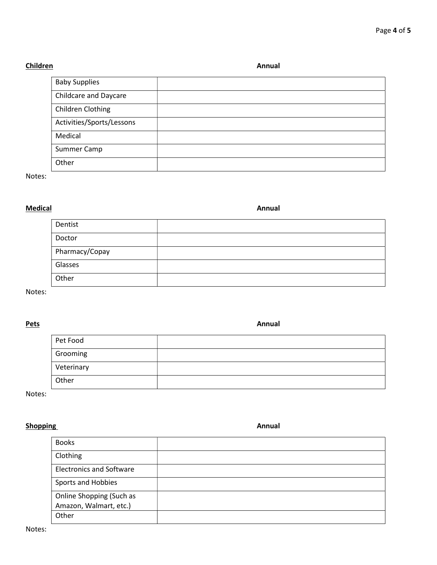## Children Annual Children Annual Children Annual Children Annual Children Annual Children Annual Children Annual

| <b>Baby Supplies</b>         |  |
|------------------------------|--|
| <b>Childcare and Daycare</b> |  |
| Children Clothing            |  |
| Activities/Sports/Lessons    |  |
| Medical                      |  |
| Summer Camp                  |  |
| Other                        |  |

Notes:

## Medical Annual Annual Annual Annual Annual Annual Annual Annual Annual Annual Annual Annual Annual Annual Annu

| Dentist        |  |
|----------------|--|
| Doctor         |  |
| Pharmacy/Copay |  |
| Glasses        |  |
| Other          |  |

Notes:

#### Pets **Petra Annual**

| Pet Food   |  |
|------------|--|
| Grooming   |  |
| Veterinary |  |
| Other      |  |

Notes:

## Shopping Annual Shopping Annual Shopping Annual Shopping Annual Shopping Annual Shopping Annual Shopping Annual

| <b>Books</b>                    |  |
|---------------------------------|--|
| Clothing                        |  |
| <b>Electronics and Software</b> |  |
| Sports and Hobbies              |  |
| Online Shopping (Such as        |  |
| Amazon, Walmart, etc.)          |  |
| Other                           |  |

Notes: